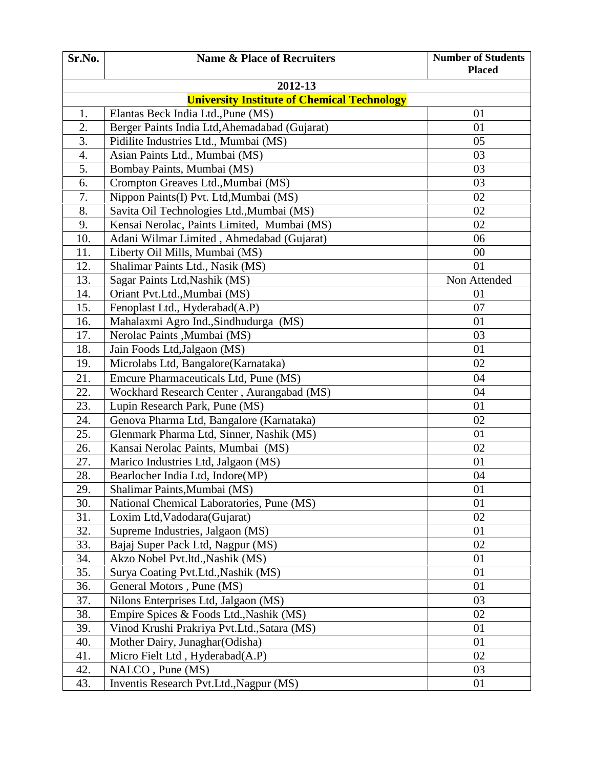| Sr.No. | <b>Name &amp; Place of Recruiters</b>              | <b>Number of Students</b><br><b>Placed</b> |
|--------|----------------------------------------------------|--------------------------------------------|
|        | 2012-13                                            |                                            |
|        | <b>University Institute of Chemical Technology</b> |                                            |
| 1.     | Elantas Beck India Ltd., Pune (MS)                 | 01                                         |
| 2.     | Berger Paints India Ltd, Ahemadabad (Gujarat)      | 01                                         |
| 3.     | Pidilite Industries Ltd., Mumbai (MS)              | 05                                         |
| 4.     | Asian Paints Ltd., Mumbai (MS)                     | 03                                         |
| 5.     | Bombay Paints, Mumbai (MS)                         | 03                                         |
| 6.     | Crompton Greaves Ltd., Mumbai (MS)                 | 03                                         |
| 7.     | Nippon Paints(I) Pvt. Ltd, Mumbai (MS)             | 02                                         |
| 8.     | Savita Oil Technologies Ltd., Mumbai (MS)          | 02                                         |
| 9.     | Kensai Nerolac, Paints Limited, Mumbai (MS)        | 02                                         |
| 10.    | Adani Wilmar Limited, Ahmedabad (Gujarat)          | 06                                         |
| 11.    | Liberty Oil Mills, Mumbai (MS)                     | 00                                         |
| 12.    | Shalimar Paints Ltd., Nasik (MS)                   | 01                                         |
| 13.    | Sagar Paints Ltd, Nashik (MS)                      | Non Attended                               |
| 14.    | Oriant Pvt.Ltd., Mumbai (MS)                       | 01                                         |
| 15.    | Fenoplast Ltd., Hyderabad(A.P)                     | 07                                         |
| 16.    | Mahalaxmi Agro Ind., Sindhudurga (MS)              | 01                                         |
| 17.    | Nerolac Paints , Mumbai (MS)                       | 03                                         |
| 18.    | Jain Foods Ltd, Jalgaon (MS)                       | 01                                         |
| 19.    | Microlabs Ltd, Bangalore(Karnataka)                | 02                                         |
| 21.    | Emcure Pharmaceuticals Ltd, Pune (MS)              | 04                                         |
| 22.    | Wockhard Research Center, Aurangabad (MS)          | 04                                         |
| 23.    | Lupin Research Park, Pune (MS)                     | 01                                         |
| 24.    | Genova Pharma Ltd, Bangalore (Karnataka)           | 02                                         |
| 25.    | Glenmark Pharma Ltd, Sinner, Nashik (MS)           | 01                                         |
| 26.    | Kansai Nerolac Paints, Mumbai (MS)                 | 02                                         |
| 27.    | Marico Industries Ltd, Jalgaon (MS)                | 01                                         |
| 28.    | Bearlocher India Ltd, Indore(MP)                   | 04                                         |
| 29.    | Shalimar Paints, Mumbai (MS)                       | 01                                         |
| 30.    | National Chemical Laboratories, Pune (MS)          | 01                                         |
| 31.    | Loxim Ltd, Vadodara (Gujarat)                      | 02                                         |
| 32.    | Supreme Industries, Jalgaon (MS)                   | 01                                         |
| 33.    | Bajaj Super Pack Ltd, Nagpur (MS)                  | 02                                         |
| 34.    | Akzo Nobel Pvt.ltd., Nashik (MS)                   | 01                                         |
| 35.    | Surya Coating Pvt.Ltd., Nashik (MS)                | 01                                         |
| 36.    | General Motors, Pune (MS)                          | 01                                         |
| 37.    | Nilons Enterprises Ltd, Jalgaon (MS)               | 03                                         |
| 38.    | Empire Spices & Foods Ltd., Nashik (MS)            | 02                                         |
| 39.    | Vinod Krushi Prakriya Pvt.Ltd., Satara (MS)        | 01                                         |
| 40.    | Mother Dairy, Junaghar (Odisha)                    | 01                                         |
| 41.    | Micro Fielt Ltd, Hyderabad(A.P)                    | 02                                         |
| 42.    | NALCO, Pune (MS)                                   | 03                                         |
| 43.    | Inventis Research Pvt.Ltd., Nagpur (MS)            | 01                                         |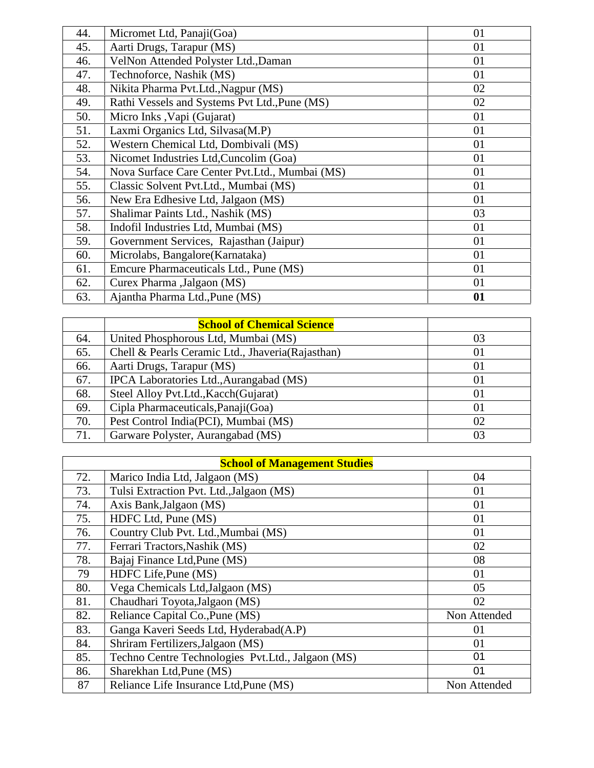| 44. | Micromet Ltd, Panaji(Goa)                      | 01 |
|-----|------------------------------------------------|----|
| 45. | Aarti Drugs, Tarapur (MS)                      | 01 |
| 46. | VelNon Attended Polyster Ltd., Daman           | 01 |
| 47. | Technoforce, Nashik (MS)                       | 01 |
| 48. | Nikita Pharma Pvt.Ltd., Nagpur (MS)            | 02 |
| 49. | Rathi Vessels and Systems Pvt Ltd., Pune (MS)  | 02 |
| 50. | Micro Inks , Vapi (Gujarat)                    | 01 |
| 51. | Laxmi Organics Ltd, Silvasa(M.P)               | 01 |
| 52. | Western Chemical Ltd, Dombivali (MS)           | 01 |
| 53. | Nicomet Industries Ltd, Cuncolim (Goa)         | 01 |
| 54. | Nova Surface Care Center Pvt.Ltd., Mumbai (MS) | 01 |
| 55. | Classic Solvent Pvt. Ltd., Mumbai (MS)         | 01 |
| 56. | New Era Edhesive Ltd, Jalgaon (MS)             | 01 |
| 57. | Shalimar Paints Ltd., Nashik (MS)              | 03 |
| 58. | Indofil Industries Ltd, Mumbai (MS)            | 01 |
| 59. | Government Services, Rajasthan (Jaipur)        | 01 |
| 60. | Microlabs, Bangalore(Karnataka)                | 01 |
| 61. | Emcure Pharmaceuticals Ltd., Pune (MS)         | 01 |
| 62. | Curex Pharma , Jalgaon (MS)                    | 01 |
| 63. | Ajantha Pharma Ltd., Pune (MS)                 | 01 |

|     | <b>School of Chemical Science</b>                |    |
|-----|--------------------------------------------------|----|
| 64. | United Phosphorous Ltd, Mumbai (MS)              | 03 |
| 65. | Chell & Pearls Ceramic Ltd., Jhaveria(Rajasthan) | 01 |
| 66. | Aarti Drugs, Tarapur (MS)                        | 01 |
| 67. | IPCA Laboratories Ltd., Aurangabad (MS)          | 01 |
| 68. | Steel Alloy Pvt.Ltd., Kacch (Gujarat)            | 01 |
| 69. | Cipla Pharmaceuticals, Panaji (Goa)              | 01 |
| 70. | Pest Control India(PCI), Mumbai (MS)             | 02 |
| 71. | Garware Polyster, Aurangabad (MS)                | 03 |

| <b>School of Management Studies</b> |                                                    |              |
|-------------------------------------|----------------------------------------------------|--------------|
| 72.                                 | Marico India Ltd, Jalgaon (MS)                     | 04           |
| 73.                                 | Tulsi Extraction Pvt. Ltd., Jalgaon (MS)           | 01           |
| 74.                                 | Axis Bank, Jalgaon (MS)                            | 01           |
| 75.                                 | HDFC Ltd, Pune (MS)                                | 01           |
| 76.                                 | Country Club Pvt. Ltd., Mumbai (MS)                | 01           |
| 77.                                 | Ferrari Tractors, Nashik (MS)                      | 02           |
| 78.                                 | Bajaj Finance Ltd, Pune (MS)                       | 08           |
| 79                                  | HDFC Life, Pune (MS)                               | 01           |
| 80.                                 | Vega Chemicals Ltd, Jalgaon (MS)                   | 05           |
| 81.                                 | Chaudhari Toyota, Jalgaon (MS)                     | 02           |
| 82.                                 | Reliance Capital Co., Pune (MS)                    | Non Attended |
| 83.                                 | Ganga Kaveri Seeds Ltd, Hyderabad(A.P)             | 01           |
| 84.                                 | Shriram Fertilizers, Jalgaon (MS)                  | 01           |
| 85.                                 | Techno Centre Technologies Pvt. Ltd., Jalgaon (MS) | 01           |
| 86.                                 | Sharekhan Ltd, Pune (MS)                           | 01           |
| 87                                  | Reliance Life Insurance Ltd, Pune (MS)             | Non Attended |